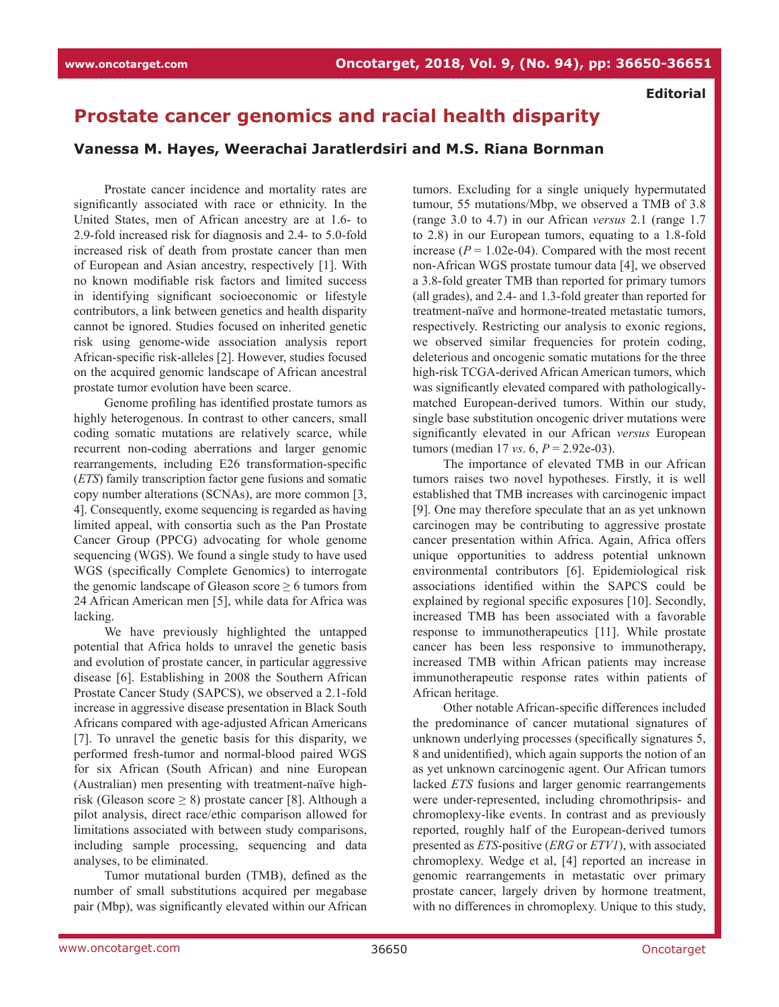**Editorial**

## **Prostate cancer genomics and racial health disparity**

## **Vanessa M. Hayes, Weerachai Jaratlerdsiri and M.S. Riana Bornman**

Prostate cancer incidence and mortality rates are significantly associated with race or ethnicity. In the United States, men of African ancestry are at 1.6- to 2.9-fold increased risk for diagnosis and 2.4- to 5.0-fold increased risk of death from prostate cancer than men of European and Asian ancestry, respectively [1]. With no known modifiable risk factors and limited success in identifying significant socioeconomic or lifestyle contributors, a link between genetics and health disparity cannot be ignored. Studies focused on inherited genetic risk using genome-wide association analysis report African-specific risk-alleles [2]. However, studies focused on the acquired genomic landscape of African ancestral prostate tumor evolution have been scarce.

Genome profiling has identified prostate tumors as highly heterogenous. In contrast to other cancers, small coding somatic mutations are relatively scarce, while recurrent non-coding aberrations and larger genomic rearrangements, including E26 transformation-specific (*ETS*) family transcription factor gene fusions and somatic copy number alterations (SCNAs), are more common [3, 4]. Consequently, exome sequencing is regarded as having limited appeal, with consortia such as the Pan Prostate Cancer Group (PPCG) advocating for whole genome sequencing (WGS). We found a single study to have used WGS (specifically Complete Genomics) to interrogate the genomic landscape of Gleason score  $\geq 6$  tumors from 24 African American men [5], while data for Africa was lacking.

We have previously highlighted the untapped potential that Africa holds to unravel the genetic basis and evolution of prostate cancer, in particular aggressive disease [6]. Establishing in 2008 the Southern African Prostate Cancer Study (SAPCS), we observed a 2.1-fold increase in aggressive disease presentation in Black South Africans compared with age-adjusted African Americans [7]. To unravel the genetic basis for this disparity, we performed fresh-tumor and normal-blood paired WGS for six African (South African) and nine European (Australian) men presenting with treatment-naïve highrisk (Gleason score  $\geq$  8) prostate cancer [8]. Although a pilot analysis, direct race/ethic comparison allowed for limitations associated with between study comparisons, including sample processing, sequencing and data analyses, to be eliminated.

Tumor mutational burden (TMB), defined as the number of small substitutions acquired per megabase pair (Mbp), was significantly elevated within our African tumors. Excluding for a single uniquely hypermutated tumour, 55 mutations/Mbp, we observed a TMB of 3.8 (range 3.0 to 4.7) in our African *versus* 2.1 (range 1.7 to 2.8) in our European tumors, equating to a 1.8-fold increase  $(P = 1.02e-04)$ . Compared with the most recent non-African WGS prostate tumour data [4], we observed a 3.8-fold greater TMB than reported for primary tumors (all grades), and 2.4- and 1.3-fold greater than reported for treatment-naïve and hormone-treated metastatic tumors, respectively. Restricting our analysis to exonic regions, we observed similar frequencies for protein coding, deleterious and oncogenic somatic mutations for the three high-risk TCGA-derived African American tumors, which was significantly elevated compared with pathologicallymatched European-derived tumors. Within our study, single base substitution oncogenic driver mutations were significantly elevated in our African *versus* European tumors (median 17 *vs.* 6,  $P = 2.92e-03$ ).

The importance of elevated TMB in our African tumors raises two novel hypotheses. Firstly, it is well established that TMB increases with carcinogenic impact [9]. One may therefore speculate that an as yet unknown carcinogen may be contributing to aggressive prostate cancer presentation within Africa. Again, Africa offers unique opportunities to address potential unknown environmental contributors [6]. Epidemiological risk associations identified within the SAPCS could be explained by regional specific exposures [10]. Secondly, increased TMB has been associated with a favorable response to immunotherapeutics [11]. While prostate cancer has been less responsive to immunotherapy, increased TMB within African patients may increase immunotherapeutic response rates within patients of African heritage.

Other notable African-specific differences included the predominance of cancer mutational signatures of unknown underlying processes (specifically signatures 5, 8 and unidentified), which again supports the notion of an as yet unknown carcinogenic agent. Our African tumors lacked *ETS* fusions and larger genomic rearrangements were under-represented, including chromothripsis- and chromoplexy-like events. In contrast and as previously reported, roughly half of the European-derived tumors presented as *ETS*-positive (*ERG* or *ETV1*), with associated chromoplexy. Wedge et al, [4] reported an increase in genomic rearrangements in metastatic over primary prostate cancer, largely driven by hormone treatment, with no differences in chromoplexy. Unique to this study,